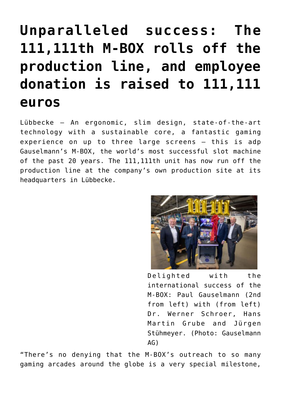## **[Unparalleled success: The](https://www.isa-guide.de/english-news/articles/267978.html) [111,111th M-BOX rolls off the](https://www.isa-guide.de/english-news/articles/267978.html) [production line, and employee](https://www.isa-guide.de/english-news/articles/267978.html) [donation is raised to 111,111](https://www.isa-guide.de/english-news/articles/267978.html) [euros](https://www.isa-guide.de/english-news/articles/267978.html)**

Lübbecke – An ergonomic, slim design, state-of-the-art technology with a sustainable core, a fantastic gaming experience on up to three large screens – this is adp Gauselmann's M-BOX, the world's most successful slot machine of the past 20 years. The 111,111th unit has now run off the production line at the company's own production site at its headquarters in Lübbecke.



Delighted with the international success of the M-BOX: Paul Gauselmann (2nd from left) with (from left) Dr. Werner Schroer, Hans Martin Grube and Jürgen Stühmeyer. (Photo: Gauselmann AG)

"There's no denying that the M-BOX's outreach to so many gaming arcades around the globe is a very special milestone,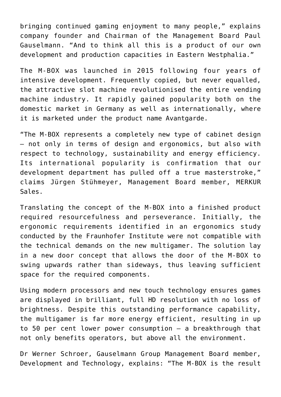bringing continued gaming enjoyment to many people," explains company founder and Chairman of the Management Board Paul Gauselmann. "And to think all this is a product of our own development and production capacities in Eastern Westphalia."

The M-BOX was launched in 2015 following four years of intensive development. Frequently copied, but never equalled, the attractive slot machine revolutionised the entire vending machine industry. It rapidly gained popularity both on the domestic market in Germany as well as internationally, where it is marketed under the product name Avantgarde.

"The M-BOX represents a completely new type of cabinet design – not only in terms of design and ergonomics, but also with respect to technology, sustainability and energy efficiency. Its international popularity is confirmation that our development department has pulled off a true masterstroke," claims Jürgen Stühmeyer, Management Board member, MERKUR Sales.

Translating the concept of the M-BOX into a finished product required resourcefulness and perseverance. Initially, the ergonomic requirements identified in an ergonomics study conducted by the Fraunhofer Institute were not compatible with the technical demands on the new multigamer. The solution lay in a new door concept that allows the door of the M-BOX to swing upwards rather than sideways, thus leaving sufficient space for the required components.

Using modern processors and new touch technology ensures games are displayed in brilliant, full HD resolution with no loss of brightness. Despite this outstanding performance capability, the multigamer is far more energy efficient, resulting in up to 50 per cent lower power consumption – a breakthrough that not only benefits operators, but above all the environment.

Dr Werner Schroer, Gauselmann Group Management Board member, Development and Technology, explains: "The M-BOX is the result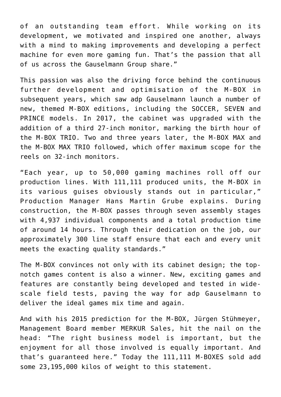of an outstanding team effort. While working on its development, we motivated and inspired one another, always with a mind to making improvements and developing a perfect machine for even more gaming fun. That's the passion that all of us across the Gauselmann Group share."

This passion was also the driving force behind the continuous further development and optimisation of the M-BOX in subsequent years, which saw adp Gauselmann launch a number of new, themed M-BOX editions, including the SOCCER, SEVEN and PRINCE models. In 2017, the cabinet was upgraded with the addition of a third 27-inch monitor, marking the birth hour of the M-BOX TRIO. Two and three years later, the M-BOX MAX and the M-BOX MAX TRIO followed, which offer maximum scope for the reels on 32-inch monitors.

"Each year, up to 50,000 gaming machines roll off our production lines. With 111,111 produced units, the M-BOX in its various guises obviously stands out in particular," Production Manager Hans Martin Grube explains. During construction, the M-BOX passes through seven assembly stages with 4,937 individual components and a total production time of around 14 hours. Through their dedication on the job, our approximately 300 line staff ensure that each and every unit meets the exacting quality standards."

The M-BOX convinces not only with its cabinet design; the topnotch games content is also a winner. New, exciting games and features are constantly being developed and tested in widescale field tests, paving the way for adp Gauselmann to deliver the ideal games mix time and again.

And with his 2015 prediction for the M-BOX, Jürgen Stühmeyer, Management Board member MERKUR Sales, hit the nail on the head: "The right business model is important, but the enjoyment for all those involved is equally important. And that's guaranteed here." Today the 111,111 M-BOXES sold add some 23,195,000 kilos of weight to this statement.